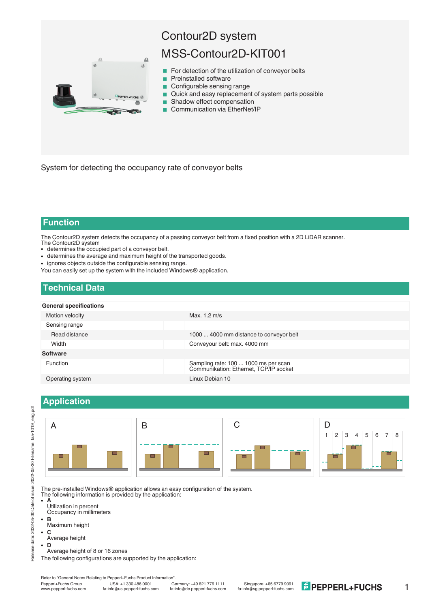

# Contour2D system

## MSS-Contour2D-KIT001

- $\blacksquare$  For detection of the utilization of conveyor belts
- **Preinstalled software**
- Configurable sensing range
- Quick and easy replacement of system parts possible
- Shadow effect compensation
- Communication via EtherNet/IP

System for detecting the occupancy rate of conveyor belts

### **Function**

The Contour2D system detects the occupancy of a passing conveyor belt from a fixed position with a 2D LiDAR scanner. The Contour2D system

- determines the occupied part of a conveyor belt.
- determines the average and maximum height of the transported goods.
- ignores objects outside the configurable sensing range.

You can easily set up the system with the included Windows® application.

### **Technical Data**

#### **General specifications**

| GETICIAI SPECINGUIUNS |                                                                                |
|-----------------------|--------------------------------------------------------------------------------|
| Motion velocity       | Max. 1.2 m/s                                                                   |
| Sensing range         |                                                                                |
| Read distance         | 1000  4000 mm distance to conveyor belt                                        |
| Width                 | Conveyour belt: max. 4000 mm                                                   |
| <b>Software</b>       |                                                                                |
| <b>Function</b>       | Sampling rate: 100  1000 ms per scan<br>Communikation: Ethernet, TCP/IP socket |
| Operating system      | Linux Debian 10                                                                |

### **Application**



The pre-installed Windows® application allows an easy configuration of the system.

The following information is provided by the application:

- $\tilde{A}$ Utilization in percent
	- Occupancy in millimeters
- <sup>l</sup> **B**
- Maximum height <sup>l</sup> **C**
- Average height
- <sup>l</sup> **D**
- Average height of 8 or 16 zones

Refer to "General Notes Relating to Pepperl+Fuchs Product Information"<br>Pepperl+Fuchs Group USA: +1 330 486 0001 G



1

The following configurations are supported by the application: